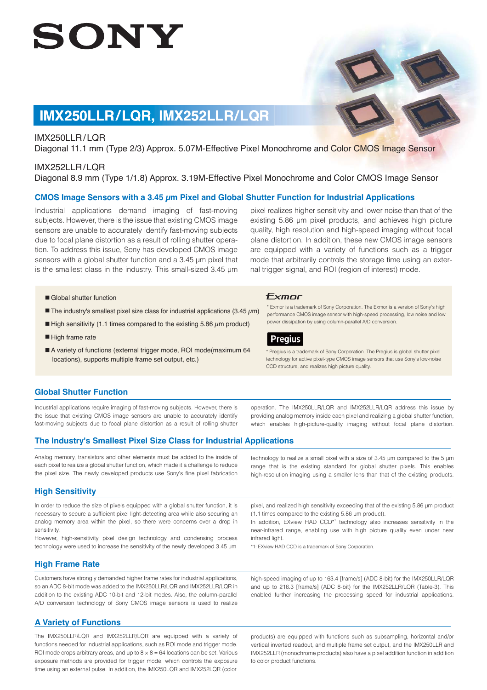# SONY

# **IMX250LLR/LQR, IMX252LLR/LQR**

### IMX250LLR / LQR

Diagonal 11.1 mm (Type 2/3) Approx. 5.07M-Effective Pixel Monochrome and Color CMOS Image Sensor

### IMX252LLR/LQR

Diagonal 8.9 mm (Type 1/1.8) Approx. 3.19M-Effective Pixel Monochrome and Color CMOS Image Sensor

### **CMOS Image Sensors with a 3.45 μm Pixel and Global Shutter Function for Industrial Applications**

Industrial applications demand imaging of fast-moving subjects. However, there is the issue that existing CMOS image sensors are unable to accurately identify fast-moving subjects due to focal plane distortion as a result of rolling shutter operation. To address this issue, Sony has developed CMOS image sensors with a global shutter function and a 3.45 μm pixel that is the smallest class in the industry. This small-sized 3.45 μm pixel realizes higher sensitivity and lower noise than that of the existing 5.86 μm pixel products, and achieves high picture quality, high resolution and high-speed imaging without focal plane distortion. In addition, these new CMOS image sensors are equipped with a variety of functions such as a trigger mode that arbitrarily controls the storage time using an external trigger signal, and ROI (region of interest) mode.

\* Exmor is a trademark of Sony Corporation. The Exmor is a version of Sony's high performance CMOS image sensor with high-speed processing, low noise and low

\* Pregius is a trademark of Sony Corporation. The Pregius is global shutter pixel technology for active pixel-type CMOS image sensors that use Sony's low-noise

power dissipation by using column-parallel A/D conversion.

CCD structure, and realizes high picture quality.

Exmor

**Pregius** 

- Global shutter function
- The industry's smallest pixel size class for industrial applications (3.45  $\mu$ m)
- High sensitivity (1.1 times compared to the existing 5.86  $\mu$ m product)
- High frame rate
- A variety of functions (external trigger mode, ROI mode(maximum 64 locations), supports multiple frame set output, etc.)

### **Global Shutter Function**

Industrial applications require imaging of fast-moving subjects. However, there is the issue that existing CMOS image sensors are unable to accurately identify fast-moving subjects due to focal plane distortion as a result of rolling shutter operation. The IMX250LLR/LQR and IMX252LLR/LQR address this issue by providing analog memory inside each pixel and realizing a global shutter function,

### **The Industry's Smallest Pixel Size Class for Industrial Applications**

Analog memory, transistors and other elements must be added to the inside of each pixel to realize a global shutter function, which made it a challenge to reduce the pixel size. The newly developed products use Sony's fine pixel fabrication

#### **High Sensitivity**

In order to reduce the size of pixels equipped with a global shutter function, it is necessary to secure a sufficient pixel light-detecting area while also securing an analog memory area within the pixel, so there were concerns over a drop in sensitivity.

However, high-sensitivity pixel design technology and condensing process technology were used to increase the sensitivity of the newly developed 3.45 μm

### **High Frame Rate**

Customers have strongly demanded higher frame rates for industrial applications, so an ADC 8-bit mode was added to the IMX250LLR/LQR and IMX252LLR/LQR in addition to the existing ADC 10-bit and 12-bit modes. Also, the column-parallel A/D conversion technology of Sony CMOS image sensors is used to realize

### **A Variety of Functions**

The IMX250LLR/LQR and IMX252LLR/LQR are equipped with a variety of functions needed for industrial applications, such as ROI mode and trigger mode. ROI mode crops arbitrary areas, and up to  $8 \times 8 = 64$  locations can be set. Various exposure methods are provided for trigger mode, which controls the exposure time using an external pulse. In addition, the IMX250LQR and IMX252LQR (color

which enables high-picture-quality imaging without focal plane distortion.

technology to realize a small pixel with a size of 3.45 μm compared to the 5 μm range that is the existing standard for global shutter pixels. This enables

high-resolution imaging using a smaller lens than that of the existing products.

pixel, and realized high sensitivity exceeding that of the existing 5.86 μm product (1.1 times compared to the existing 5.86 μm product).

In addition, EXview HAD CCD<sup>\*1</sup> technology also increases sensitivity in the near-infrared range, enabling use with high picture quality even under near infrared light.

\*1: EXview HAD CCD is a trademark of Sony Corporation.

high-speed imaging of up to 163.4 [frame/s] (ADC 8-bit) for the IMX250LLR/LQR and up to 216.3 [frame/s] (ADC 8-bit) for the IMX252LLR/LQR (Table-3). This enabled further increasing the processing speed for industrial applications.

products) are equipped with functions such as subsampling, horizontal and/or vertical inverted readout, and multiple frame set output, and the IMX250LLR and IMX252LLR (monochrome products) also have a pixel addition function in addition to color product functions.